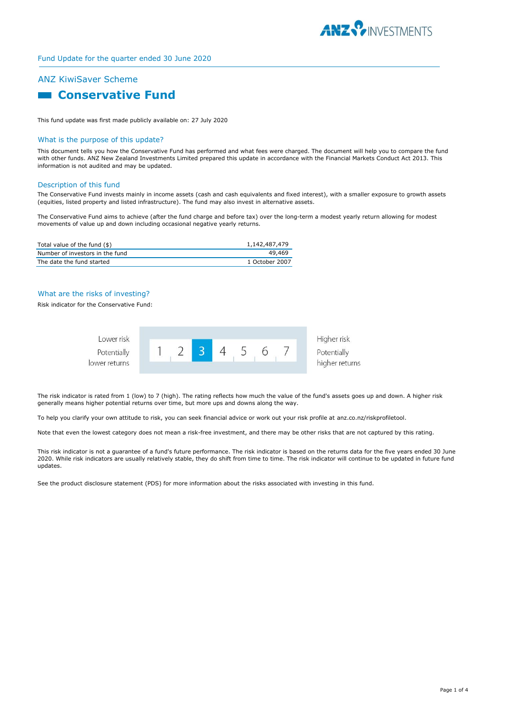

# ANZ KiwiSaver Scheme

# **Conservative Fund**

This fund update was first made publicly available on: 27 July 2020

## What is the purpose of this update?

This document tells you how the Conservative Fund has performed and what fees were charged. The document will help you to compare the fund with other funds. ANZ New Zealand Investments Limited prepared this update in accordance with the Financial Markets Conduct Act 2013. This information is not audited and may be updated.

## Description of this fund

The Conservative Fund invests mainly in income assets (cash and cash equivalents and fixed interest), with a smaller exposure to growth assets (equities, listed property and listed infrastructure). The fund may also invest in alternative assets.

The Conservative Fund aims to achieve (after the fund charge and before tax) over the long-term a modest yearly return allowing for modest movements of value up and down including occasional negative yearly returns.

| Total value of the fund (\$)    | 1,142,487,479  |
|---------------------------------|----------------|
| Number of investors in the fund | 49.469         |
| The date the fund started       | 1 October 2007 |

## What are the risks of investing?

Risk indicator for the Conservative Fund:



The risk indicator is rated from 1 (low) to 7 (high). The rating reflects how much the value of the fund's assets goes up and down. A higher risk generally means higher potential returns over time, but more ups and downs along the way.

To help you clarify your own attitude to risk, you can seek financial advice or work out your risk profile at anz.co.nz/riskprofiletool.

Note that even the lowest category does not mean a risk-free investment, and there may be other risks that are not captured by this rating.

This risk indicator is not a guarantee of a fund's future performance. The risk indicator is based on the returns data for the five years ended 30 June 2020. While risk indicators are usually relatively stable, they do shift from time to time. The risk indicator will continue to be updated in future fund updates.

See the product disclosure statement (PDS) for more information about the risks associated with investing in this fund.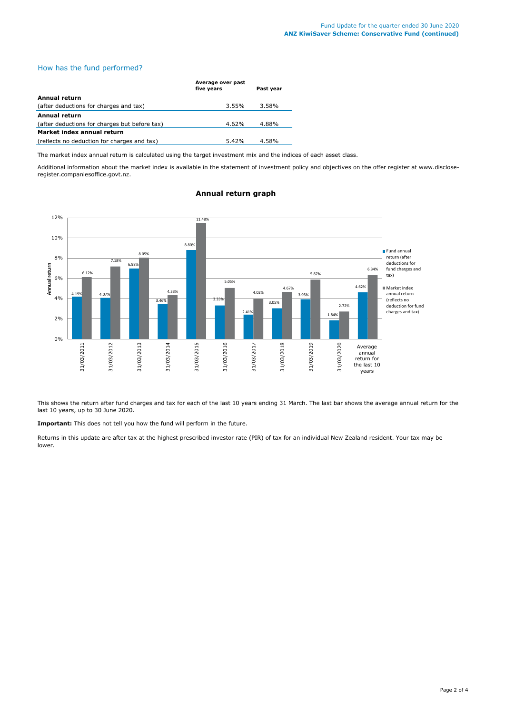# How has the fund performed?

|                                               | Average over past<br>five years | Past year |  |  |
|-----------------------------------------------|---------------------------------|-----------|--|--|
| Annual return                                 |                                 |           |  |  |
| (after deductions for charges and tax)        | 3.55%                           | 3.58%     |  |  |
| <b>Annual return</b>                          |                                 |           |  |  |
| (after deductions for charges but before tax) | 4.62%                           | 4.88%     |  |  |
| Market index annual return                    |                                 |           |  |  |
| (reflects no deduction for charges and tax)   | $5.42\%$                        | 4.58%     |  |  |

The market index annual return is calculated using the target investment mix and the indices of each asset class.

Additional information about the market index is available in the statement of investment policy and objectives on the offer register at www.discloseregister.companiesoffice.govt.nz.



# **Annual return graph**

This shows the return after fund charges and tax for each of the last 10 years ending 31 March. The last bar shows the average annual return for the last 10 years, up to 30 June 2020.

**Important:** This does not tell you how the fund will perform in the future.

Returns in this update are after tax at the highest prescribed investor rate (PIR) of tax for an individual New Zealand resident. Your tax may be lower.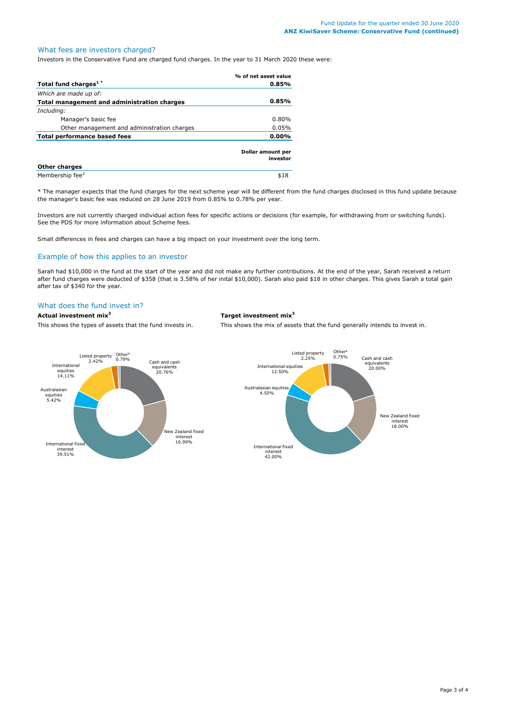# What fees are investors charged?

Investors in the Conservative Fund are charged fund charges. In the year to 31 March 2020 these were:

|                                             | % of net asset value          |
|---------------------------------------------|-------------------------------|
| Total fund charges <sup>1*</sup>            | $0.85\%$                      |
| Which are made up of:                       |                               |
| Total management and administration charges | 0.85%                         |
| Including:                                  |                               |
| Manager's basic fee                         | $0.80\%$                      |
| Other management and administration charges | 0.05%                         |
| <b>Total performance based fees</b>         | $0.00\%$                      |
|                                             | Dollar amount per<br>investor |
| <b>Other charges</b>                        |                               |
| Membership fee <sup>2</sup>                 | \$18                          |

\* The manager expects that the fund charges for the next scheme year will be different from the fund charges disclosed in this fund update because the manager's basic fee was reduced on 28 June 2019 from 0.85% to 0.78% per year.

Investors are not currently charged individual action fees for specific actions or decisions (for example, for withdrawing from or switching funds). See the PDS for more information about Scheme fees.

Small differences in fees and charges can have a big impact on your investment over the long term.

## Example of how this applies to an investor

Sarah had \$10,000 in the fund at the start of the year and did not make any further contributions. At the end of the year, Sarah received a return after fund charges were deducted of \$358 (that is 3.58% of her inital \$10,000). Sarah also paid \$18 in other charges. This gives Sarah a total gain after tax of \$340 for the year.

# What does the fund invest in?

# **Actual investment mix<sup>3</sup> Target investment mix<sup>3</sup>**

This shows the types of assets that the fund invests in. This shows the mix of assets that the fund generally intends to invest in.